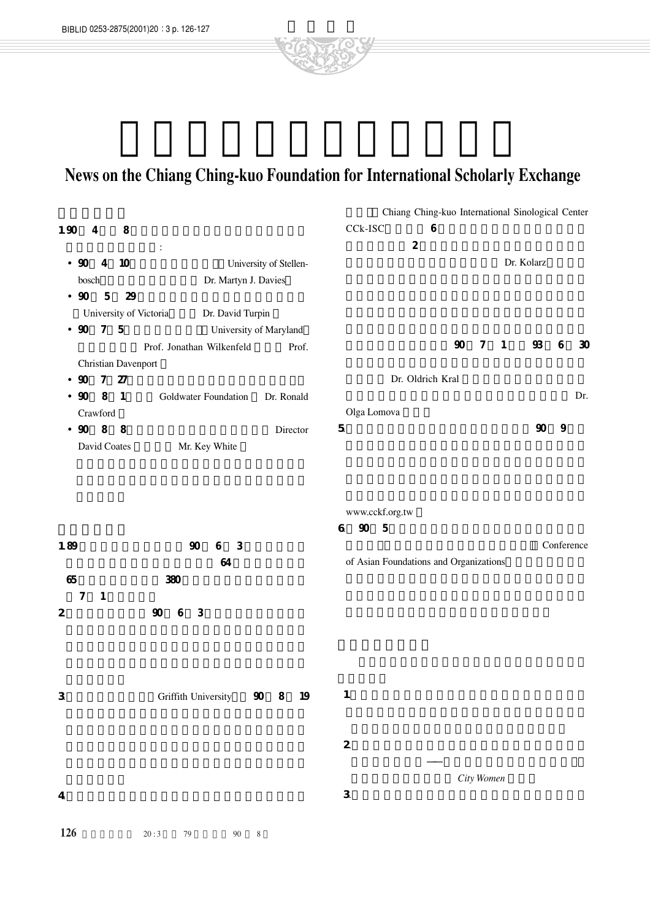## **News on the Chiang Ching-kuo Foundation for International Scholarly Exchange**

|                  |                 |                            |                                            |                        |                                        | Chiang Ching-kuo International Sinological Center |        |                  |                |            |         |            |
|------------------|-----------------|----------------------------|--------------------------------------------|------------------------|----------------------------------------|---------------------------------------------------|--------|------------------|----------------|------------|---------|------------|
| 1.90             | $\overline{4}$  | $8\,$                      |                                            |                        | CCk-ISC                                | 6                                                 |        |                  |                |            |         |            |
|                  |                 |                            | $\ddot{\cdot}$                             |                        |                                        | $\boldsymbol{2}$                                  |        |                  |                |            |         |            |
| $90\,$           | $\overline{4}$  | 10                         |                                            | University of Stellen- |                                        |                                                   |        |                  |                | Dr. Kolarz |         |            |
|                  | bosch           |                            | Dr. Martyn J. Davies                       |                        |                                        |                                                   |        |                  |                |            |         |            |
| $90\,$           | $\mathbf 5$     | 29                         |                                            |                        |                                        |                                                   |        |                  |                |            |         |            |
|                  |                 |                            | University of Victoria<br>Dr. David Turpin |                        |                                        |                                                   |        |                  |                |            |         |            |
| $90\,$           | $7\overline{ }$ | $\overline{5}$             |                                            | University of Maryland |                                        |                                                   |        |                  |                |            |         |            |
|                  |                 |                            | Prof. Jonathan Wilkenfeld                  | Prof.                  |                                        |                                                   | $90\,$ | $\boldsymbol{7}$ | $\overline{1}$ | 93         | $\,6\,$ | $30\,$     |
|                  |                 | <b>Christian Davenport</b> |                                            |                        |                                        |                                                   |        |                  |                |            |         |            |
| $90\,$           | $7\overline{ }$ | 27                         |                                            |                        |                                        | Dr. Oldrich Kral                                  |        |                  |                |            |         |            |
| $90\,$           | $8\,$           | $\overline{1}$             | Goldwater Foundation                       | Dr. Ronald             |                                        |                                                   |        |                  |                |            |         | Dr.        |
|                  | Crawford        |                            |                                            |                        | Olga Lomova                            |                                                   |        |                  |                |            |         |            |
|                  | 90 8            | 8                          |                                            | Director               | 5.                                     |                                                   |        |                  |                | $90\,$     | 9       |            |
|                  | David Coates    |                            | Mr. Key White                              |                        |                                        |                                                   |        |                  |                |            |         |            |
|                  |                 |                            |                                            |                        |                                        |                                                   |        |                  |                |            |         |            |
|                  |                 |                            |                                            |                        |                                        |                                                   |        |                  |                |            |         |            |
|                  |                 |                            |                                            |                        |                                        |                                                   |        |                  |                |            |         |            |
|                  |                 |                            |                                            |                        | www.cckf.org.tw                        |                                                   |        |                  |                |            |         |            |
|                  |                 |                            |                                            |                        | 90<br>$6. \,$<br>$5\phantom{.0}$       |                                                   |        |                  |                |            |         |            |
| 1.89             |                 |                            | $90\,$<br>$6\,$<br>$\mathbf{3}$            |                        |                                        |                                                   |        |                  |                |            |         | Conference |
|                  |                 |                            | $64\,$                                     |                        | of Asian Foundations and Organizations |                                                   |        |                  |                |            |         |            |
| 65               |                 |                            | 380                                        |                        |                                        |                                                   |        |                  |                |            |         |            |
| $\boldsymbol{7}$ | $\overline{1}$  |                            |                                            |                        |                                        |                                                   |        |                  |                |            |         |            |
| $\mathbf{2}$     |                 |                            | $\,6\,$<br>$9\!\mathrm{O}$<br>$\sqrt{3}$   |                        |                                        |                                                   |        |                  |                |            |         |            |
|                  |                 |                            |                                            |                        |                                        |                                                   |        |                  |                |            |         |            |
|                  |                 |                            |                                            |                        |                                        |                                                   |        |                  |                |            |         |            |
|                  |                 |                            |                                            |                        |                                        |                                                   |        |                  |                |            |         |            |
|                  |                 |                            |                                            |                        |                                        |                                                   |        |                  |                |            |         |            |
| 3.               |                 |                            | Griffith University                        | 90 8 19                | 1.                                     |                                                   |        |                  |                |            |         |            |
|                  |                 |                            |                                            |                        |                                        |                                                   |        |                  |                |            |         |            |
|                  |                 |                            |                                            |                        |                                        |                                                   |        |                  |                |            |         |            |
|                  |                 |                            |                                            |                        | $2.$                                   |                                                   |        |                  |                |            |         |            |
|                  |                 |                            |                                            |                        |                                        |                                                   |        |                  |                |            |         |            |
|                  |                 |                            |                                            |                        |                                        |                                                   |        | City Women       |                |            |         |            |
| $\overline{4}$ . |                 |                            |                                            |                        | $\mathfrak{S}$                         |                                                   |        |                  |                |            |         |            |
|                  |                 |                            |                                            |                        |                                        |                                                   |        |                  |                |            |         |            |
| 126              |                 |                            | $20:3$<br>79<br>$90\,$                     | $\,$ 8 $\,$            |                                        |                                                   |        |                  |                |            |         |            |